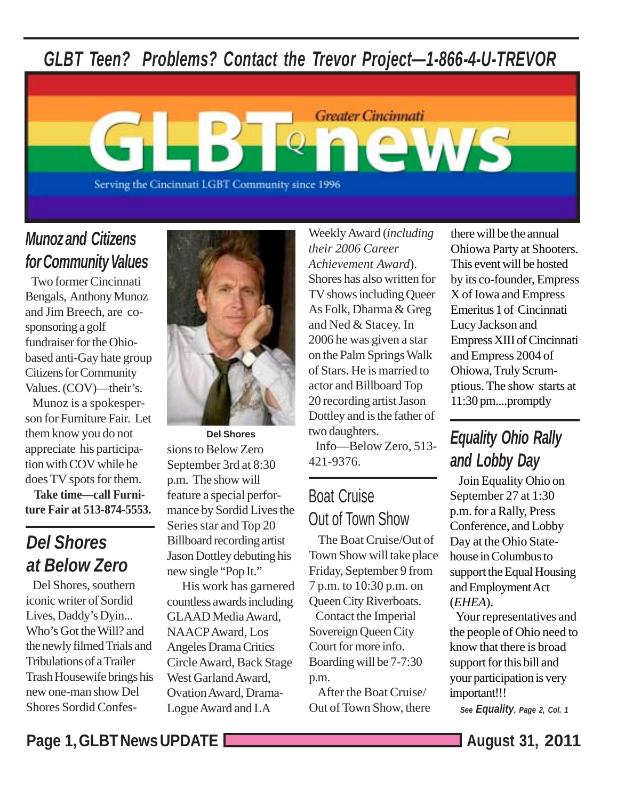## *GLBT Teen? Problems? Contact the Trevor Project—1-866-4-U-TREVOR*



## *Munoz and Citizens for Community Values*

 Two former Cincinnati Bengals, Anthony Munoz and Jim Breech, are cosponsoring a golf fundraiser for the Ohiobased anti-Gay hate group Citizens for Community Values. (COV)—their's.

 Munoz is a spokesperson for Furniture Fair. Let them know you do not appreciate his participation with COV while he does TV spots for them.

 **Take time—call Furniture Fair at 513-874-5553.**

## *Del Shores at Below Zero*

 Del Shores, southern iconic writer of Sordid Lives, Daddy's Dyin... Who's Got the Will? and the newly filmed Trials and Tribulations of a Trailer Trash Housewife brings his new one-man show Del Shores Sordid Confes-



sions to Below Zero September 3rd at 8:30 p.m. The show will feature a special performance by Sordid Lives the Series star and Top 20 Billboard recording artist Jason Dottley debuting his new single "Pop It." **Del Shores**

 His work has garnered countless awards including GLAAD Media Award, NAACP Award, Los Angeles Drama Critics Circle Award, Back Stage West Garland Award, Ovation Award, Drama-Logue Award and LA

Weekly Award (*including their 2006 Career Achievement Award*). Shores has also written for TV shows including Queer As Folk, Dharma & Greg and Ned & Stacey. In 2006 he was given a star on the Palm Springs Walk of Stars. He is married to actor and Billboard Top 20 recording artist Jason Dottley and is the father of two daughters.

 Info—Below Zero, 513- 421-9376.

## Boat Cruise Out of Town Show

 The Boat Cruise/Out of Town Show will take place Friday, September 9 from 7 p.m. to 10:30 p.m. on Queen City Riverboats. Contact the Imperial Sovereign Queen City Court for more info. Boarding will be 7-7:30 p.m.

 After the Boat Cruise/ Out of Town Show, there there will be the annual Ohiowa Party at Shooters. This event will be hosted by its co-founder, Empress X of Iowa and Empress Emeritus 1 of Cincinnati Lucy Jackson and Empress XIII of Cincinnati and Empress 2004 of Ohiowa, Truly Scrumptious. The show starts at 11:30 pm....promptly

## *Equality Ohio Rally and Lobby Day*

 Join Equality Ohio on September 27 at 1:30 p.m. for a Rally, Press Conference, and Lobby Day at the Ohio Statehouse in Columbus to support the Equal Housing and Employment Act (*EHEA*).

 Your representatives and the people of Ohio need to know that there is broad support for this bill and your participation is very important!!!

*See Equality, Page 2, Col. 1*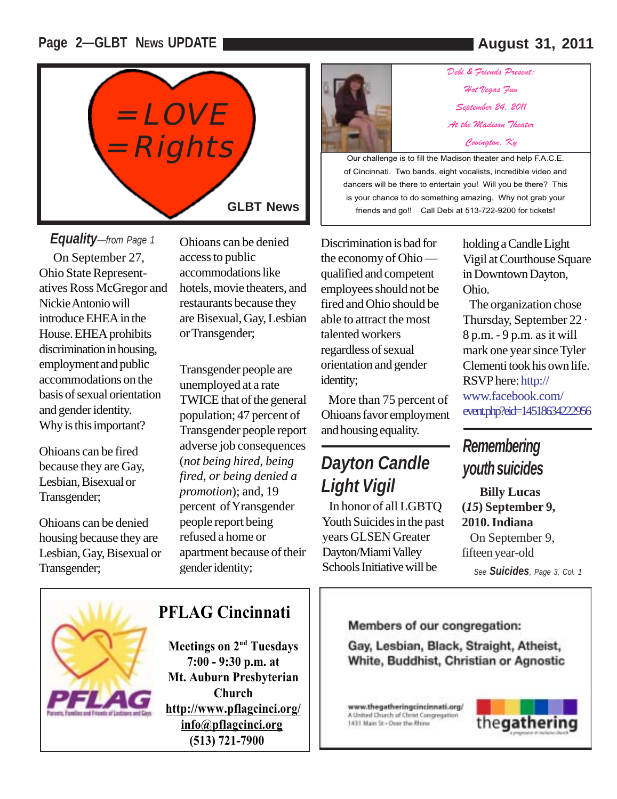### **Page 2—GLBT NEWS UPDATE August 31, 2011**



Why is this important? On September 27, Ohio State Representatives Ross McGregor and Nickie Antonio will introduce EHEA in the House. EHEA prohibits discrimination in housing, employment and public accommodations on the basis of sexual orientation and gender identity. *Equality—from Page 1* Ohioans can be denied

Ohioans can be fired because they are Gay, Lesbian, Bisexual or Transgender;

Ohioans can be denied housing because they are Lesbian, Gay, Bisexual or Transgender;

access to public accommodations like hotels, movie theaters, and restaurants because they are Bisexual, Gay, Lesbian or Transgender;

Transgender people are<br>unemployed at a rate identity; unemployed at a rate TWICE that of the general population; 47 percent of Transgender people report adverse job consequences (*not being hired, being fired, or being denied a promotion*); and, 19 percent of Yransgender people report being refused a home or apartment because of their gender identity;



*Debi & Friends Present: Hot Vegas Fun September 24, 2011 At the Madison Theater Covington, Ky* 

Our challenge is to fill the Madison theater and help F.A.C.E. of Cincinnati. Two bands, eight vocalists, incredible video and dancers will be there to entertain you! Will you be there? This is your chance to do something amazing. Why not grab your friends and go!! Call Debi at 513-722-9200 for tickets!

Discrimination is bad for the economy of Ohio qualified and competent employees should not be fired and Ohio should be able to attract the most talented workers regardless of sexual orientation and gender

 More than 75 percent of Ohioans favor employment and housing equality.

## *Dayton Candle Light Vigil*

 In honor of all LGBTQ Youth Suicides in the past years GLSEN Greater Dayton/Miami Valley Schools Initiative will be

holding a Candle Light Vigil at Courthouse Square in Downtown Dayton, Ohio.

 The organization chose Thursday, September 22 · 8 p.m. - 9 p.m. as it will mark one year since Tyler Clementi took his own life. RSVP here: http:// www.facebook.com/ event.php?eid=14518634222956

## *Remembering youth suicides*

*See Suicides, Page 3, Col. 1* **Billy Lucas (***15***) September 9, 2010. Indiana** On September 9, fifteen year-old



### **PFLAG Cincinnati**

**Meetings on 2<sup>nd</sup> Tuesdays 7:00 - 9:30 p.m. at Mt. Auburn Presbyterian Church http://www.pflagcinci.org/ info@pflagcinci.org (513) 721-7900**

#### Members of our congregation:

Gay, Lesbian, Black, Straight, Atheist, White, Buddhist, Christian or Agnostic

www.thegatheringcincinnati.org/ A United Church of Christ Congregation 1431 Main St - Over the Rhine

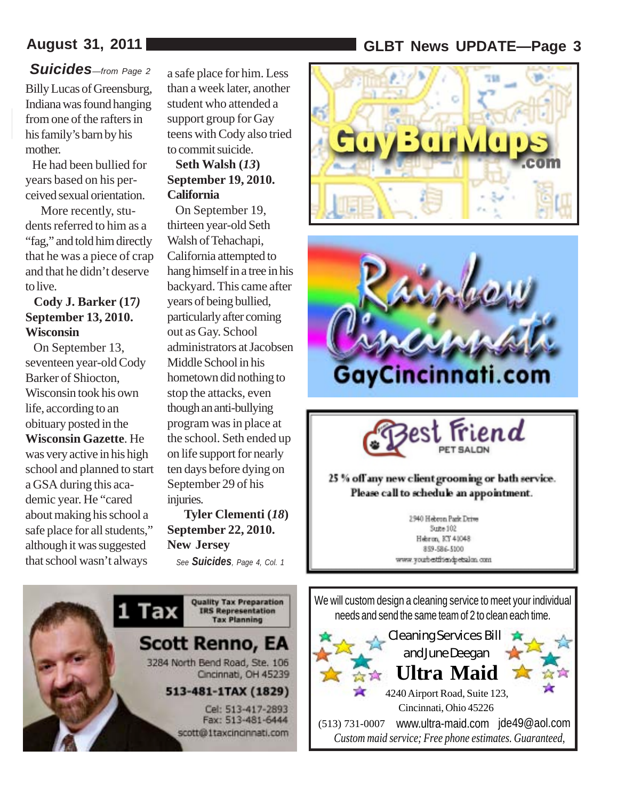#### *Suicides—from Page 2* Billy Lucas of Greensburg, Indiana was found hanging from one of the rafters in his family's barn by his mother.

 He had been bullied for years based on his perceived sexual orientation.

 More recently, students referred to him as a "fag," and told him directly that he was a piece of crap and that he didn't deserve to live.

#### **Cody J. Barker (17***)* **September 13, 2010. Wisconsin**

 On September 13, seventeen year-old Cody Barker of Shiocton, Wisconsin took his own life, according to an obituary posted in the **Wisconsin Gazette**. He was very active in his high school and planned to start a GSA during this academic year. He "cared about making his school a safe place for all students," although it was suggested that school wasn't always

a safe place for him. Less than a week later, another student who attended a support group for Gay teens with Cody also tried to commit suicide.

#### **Seth Walsh (***13***) September 19, 2010. California**

 On September 19, thirteen year-old Seth Walsh of Tehachapi, California attempted to hang himself in a tree in his backyard. This came after years of being bullied, particularly after coming out as Gay. School administrators at Jacobsen Middle School in his hometown did nothing to stop the attacks, even though an anti-bullying program was in place at the school. Seth ended up on life support for nearly ten days before dying on September 29 of his injuries.

 **Tyler Clementi (***18***) September 22, 2010. New Jersey** *See Suicides, Page 4, Col. 1*



## **August 31, 2011 GLBT News UPDATE—Page 3**







#### 25 % off any new client grooming or bath service. Please call to schedule an appointment.

2940 Hebron Park Drive Sce=102 Herron, KY 41048 859-586-5100 www.youtbestfriendpetsalon.com.

We will custom design a cleaning service to meet your individual needs and send the same team of 2 to clean each time.

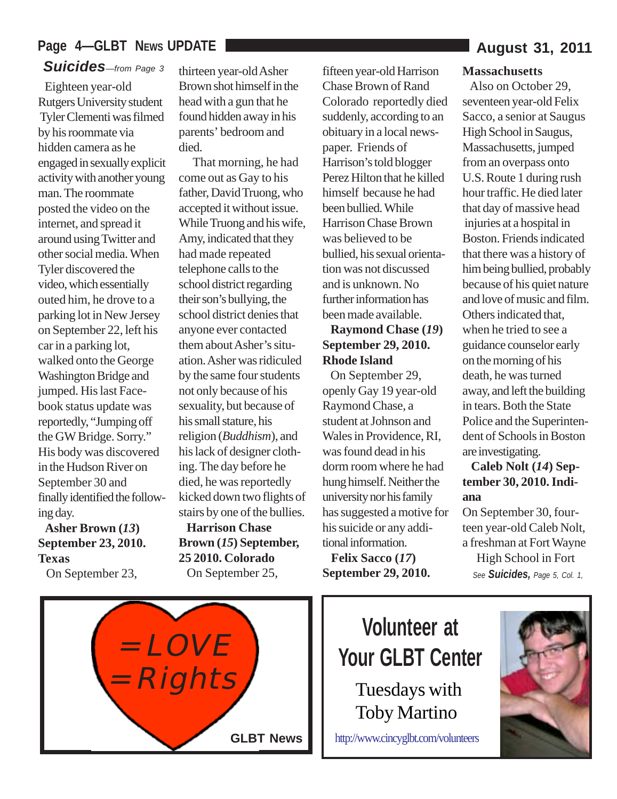### Page 4-GLBT NEWS UPDATE

### *Suicides—from Page 3* thirteen year-old Asher

 Eighteen year-old Rutgers University student Tyler Clementi was filmed by his roommate via hidden camera as he engaged in sexually explicit activity with another young man. The roommate posted the video on the internet, and spread it around using Twitter and other social media. When Tyler discovered the video, which essentially outed him, he drove to a parking lot in New Jersey on September 22, left his car in a parking lot, walked onto the George Washington Bridge and jumped. His last Facebook status update was reportedly, "Jumping off the GW Bridge. Sorry." His body was discovered in the Hudson River on September 30 and finally identified the following day.

 **Asher Brown (***13***) September 23, 2010. Texas**

On September 23,

Brown shot himself in the head with a gun that he found hidden away in his parents' bedroom and died.

 That morning, he had come out as Gay to his father, David Truong, who accepted it without issue. While Truong and his wife, Amy, indicated that they had made repeated telephone calls to the school district regarding their son's bullying, the school district denies that anyone ever contacted them about Asher's situation. Asher was ridiculed by the same four students not only because of his sexuality, but because of his small stature, his religion (*Buddhism*), and his lack of designer clothing. The day before he died, he was reportedly kicked down two flights of stairs by one of the bullies.

 **Harrison Chase Brown (***15***) September, 25 2010. Colorado** On September 25,

fifteen year-old Harrison Chase Brown of Rand Colorado reportedly died suddenly, according to an obituary in a local newspaper. Friends of Harrison's told blogger Perez Hilton that he killed himself because he had been bullied. While Harrison Chase Brown was believed to be bullied, his sexual orientation was not discussed and is unknown. No further information has been made available.

#### **Raymond Chase (***19***) September 29, 2010. Rhode Island**

 On September 29, openly Gay 19 year-old Raymond Chase, a student at Johnson and Wales in Providence, RI, was found dead in his dorm room where he had hung himself. Neither the university nor his family has suggested a motive for his suicide or any additional information.

 **Felix Sacco (***17***) September 29, 2010.**

#### **Massachusetts**

 Also on October 29, seventeen year-old Felix Sacco, a senior at Saugus High School in Saugus, Massachusetts, jumped from an overpass onto U.S. Route 1 during rush hour traffic. He died later that day of massive head injuries at a hospital in Boston. Friends indicated that there was a history of him being bullied, probably because of his quiet nature and love of music and film. Others indicated that, when he tried to see a guidance counselor early on the morning of his death, he was turned away, and left the building in tears. Both the State Police and the Superintendent of Schools in Boston are investigating.

#### **Caleb Nolt (***14***) September 30, 2010. Indiana**

*See Suicides, Page 5, Col. 1,* On September 30, fourteen year-old Caleb Nolt, a freshman at Fort Wayne High School in Fort



**Volunteer at Your GLBT Center**

> Tuesdays with Toby Martino

http://www.cincyglbt.com/volunteers